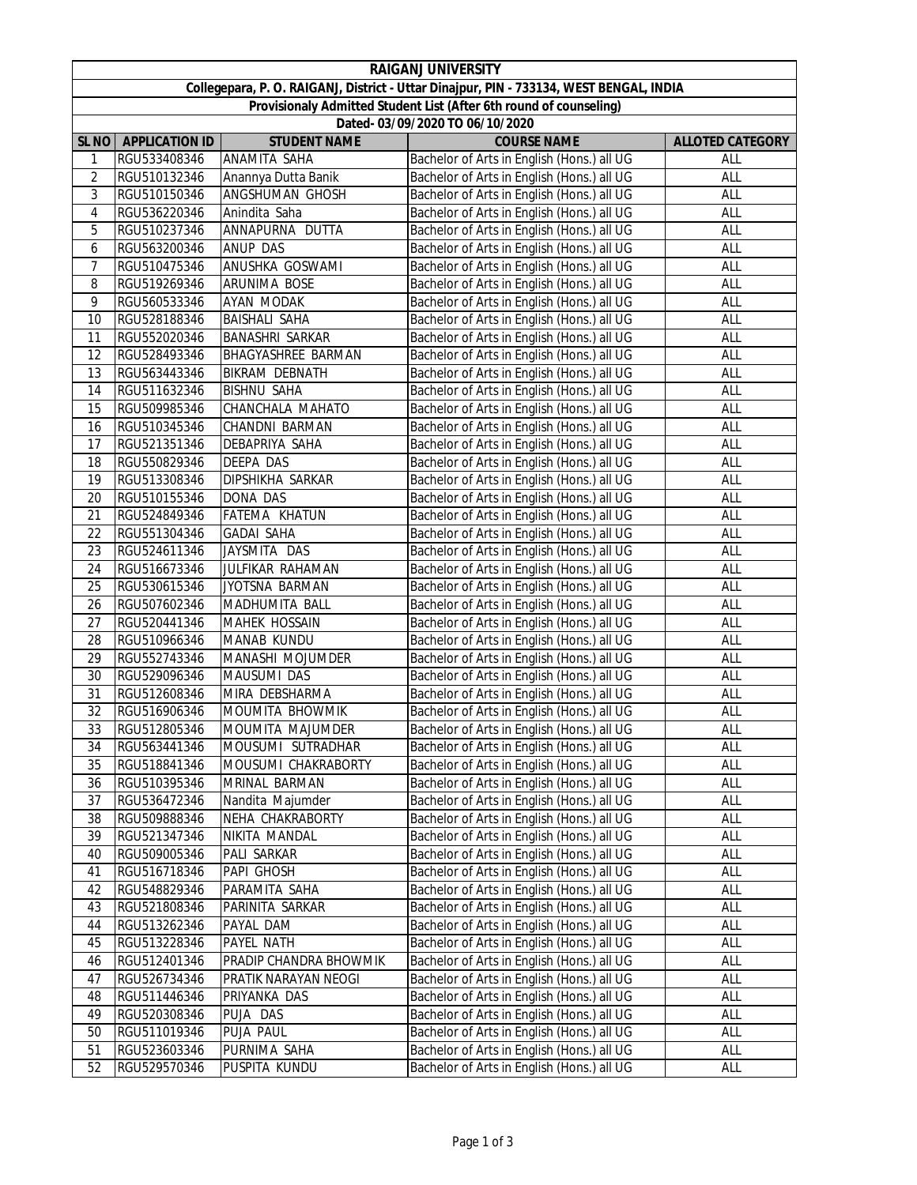|                                                                                         | <b>RAIGANJ UNIVERSITY</b>       |                           |                                                                                          |                         |  |  |  |  |  |
|-----------------------------------------------------------------------------------------|---------------------------------|---------------------------|------------------------------------------------------------------------------------------|-------------------------|--|--|--|--|--|
| Collegepara, P. O. RAIGANJ, District - Uttar Dinajpur, PIN - 733134, WEST BENGAL, INDIA |                                 |                           |                                                                                          |                         |  |  |  |  |  |
| Provisionaly Admitted Student List (After 6th round of counseling)                      |                                 |                           |                                                                                          |                         |  |  |  |  |  |
|                                                                                         | Dated- 03/09/2020 TO 06/10/2020 |                           |                                                                                          |                         |  |  |  |  |  |
| SL <sub>NO</sub>                                                                        | <b>APPLICATION ID</b>           | <b>STUDENT NAME</b>       | <b>COURSE NAME</b>                                                                       | <b>ALLOTED CATEGORY</b> |  |  |  |  |  |
| 1                                                                                       | RGU533408346                    | ANAMITA SAHA              | Bachelor of Arts in English (Hons.) all UG                                               | ALL                     |  |  |  |  |  |
| $\overline{2}$                                                                          | RGU510132346                    | Anannya Dutta Banik       | Bachelor of Arts in English (Hons.) all UG                                               | ALL                     |  |  |  |  |  |
| 3                                                                                       | RGU510150346                    | ANGSHUMAN GHOSH           | Bachelor of Arts in English (Hons.) all UG                                               | ALL                     |  |  |  |  |  |
| 4                                                                                       | RGU536220346                    | Anindita Saha             | Bachelor of Arts in English (Hons.) all UG                                               | ALL                     |  |  |  |  |  |
| 5                                                                                       | RGU510237346                    | ANNAPURNA DUTTA           | Bachelor of Arts in English (Hons.) all UG                                               | ALL                     |  |  |  |  |  |
| 6                                                                                       | RGU563200346                    | <b>ANUP DAS</b>           | Bachelor of Arts in English (Hons.) all UG                                               | ALL                     |  |  |  |  |  |
| 7                                                                                       | RGU510475346                    | ANUSHKA GOSWAMI           | Bachelor of Arts in English (Hons.) all UG                                               | ALL                     |  |  |  |  |  |
| 8                                                                                       | RGU519269346                    | ARUNIMA BOSE              | Bachelor of Arts in English (Hons.) all UG                                               | ALL                     |  |  |  |  |  |
| 9                                                                                       | RGU560533346                    | AYAN MODAK                | Bachelor of Arts in English (Hons.) all UG                                               | ALL                     |  |  |  |  |  |
| 10                                                                                      | RGU528188346                    | <b>BAISHALI SAHA</b>      | Bachelor of Arts in English (Hons.) all UG                                               | ALL                     |  |  |  |  |  |
| 11                                                                                      | RGU552020346                    | <b>BANASHRI SARKAR</b>    | Bachelor of Arts in English (Hons.) all UG                                               | ALL                     |  |  |  |  |  |
| 12                                                                                      | RGU528493346                    | <b>BHAGYASHREE BARMAN</b> | Bachelor of Arts in English (Hons.) all UG                                               | ALL                     |  |  |  |  |  |
| 13                                                                                      | RGU563443346                    | <b>BIKRAM DEBNATH</b>     | Bachelor of Arts in English (Hons.) all UG                                               | ALL                     |  |  |  |  |  |
| 14                                                                                      | RGU511632346                    | <b>BISHNU SAHA</b>        | Bachelor of Arts in English (Hons.) all UG                                               | ALL                     |  |  |  |  |  |
| 15                                                                                      | RGU509985346                    | CHANCHALA MAHATO          | Bachelor of Arts in English (Hons.) all UG                                               | ALL                     |  |  |  |  |  |
| 16                                                                                      | RGU510345346                    | CHANDNI BARMAN            | Bachelor of Arts in English (Hons.) all UG                                               | ALL                     |  |  |  |  |  |
| 17                                                                                      | RGU521351346                    | DEBAPRIYA SAHA            | Bachelor of Arts in English (Hons.) all UG                                               | ALL                     |  |  |  |  |  |
| 18                                                                                      | RGU550829346                    | DEEPA DAS                 | Bachelor of Arts in English (Hons.) all UG                                               | ALL                     |  |  |  |  |  |
| 19                                                                                      | RGU513308346                    | <b>DIPSHIKHA SARKAR</b>   | Bachelor of Arts in English (Hons.) all UG                                               | <b>ALL</b>              |  |  |  |  |  |
| 20                                                                                      | RGU510155346                    | <b>DONA DAS</b>           | Bachelor of Arts in English (Hons.) all UG                                               | ALL                     |  |  |  |  |  |
| 21                                                                                      | RGU524849346                    | FATEMA KHATUN             | Bachelor of Arts in English (Hons.) all UG                                               | ALL                     |  |  |  |  |  |
| 22                                                                                      | RGU551304346                    | <b>GADAI SAHA</b>         | Bachelor of Arts in English (Hons.) all UG                                               | ALL                     |  |  |  |  |  |
| 23                                                                                      | RGU524611346                    | JAYSMITA DAS              | Bachelor of Arts in English (Hons.) all UG                                               | ALL                     |  |  |  |  |  |
| 24                                                                                      | RGU516673346                    | JULFIKAR RAHAMAN          | Bachelor of Arts in English (Hons.) all UG                                               | ALL                     |  |  |  |  |  |
| 25                                                                                      | RGU530615346                    | JYOTSNA BARMAN            | Bachelor of Arts in English (Hons.) all UG                                               | ALL                     |  |  |  |  |  |
| 26                                                                                      | RGU507602346                    | MADHUMITA BALL            | Bachelor of Arts in English (Hons.) all UG                                               | ALL                     |  |  |  |  |  |
| 27                                                                                      | RGU520441346                    | <b>MAHEK HOSSAIN</b>      | Bachelor of Arts in English (Hons.) all UG                                               | ALL                     |  |  |  |  |  |
| 28                                                                                      | RGU510966346                    | MANAB KUNDU               | Bachelor of Arts in English (Hons.) all UG                                               | ALL                     |  |  |  |  |  |
| 29                                                                                      | RGU552743346                    | MANASHI MOJUMDER          | Bachelor of Arts in English (Hons.) all UG                                               | ALL                     |  |  |  |  |  |
| 30                                                                                      | RGU529096346                    | MAUSUMI DAS               | Bachelor of Arts in English (Hons.) all UG                                               | ALL                     |  |  |  |  |  |
| 31                                                                                      | RGU512608346                    | MIRA DEBSHARMA            | Bachelor of Arts in English (Hons.) all UG                                               | ALL                     |  |  |  |  |  |
| 32                                                                                      | RGU516906346                    | MOUMITA BHOWMIK           | Bachelor of Arts in English (Hons.) all UG                                               | ALL                     |  |  |  |  |  |
| 33                                                                                      | RGU512805346                    | <b>MOUMITA MAJUMDER</b>   | Bachelor of Arts in English (Hons.) all UG                                               | ALL                     |  |  |  |  |  |
| 34                                                                                      | RGU563441346                    | MOUSUMI SUTRADHAR         | Bachelor of Arts in English (Hons.) all UG                                               | ALL                     |  |  |  |  |  |
| 35                                                                                      | RGU518841346                    | MOUSUMI CHAKRABORTY       | Bachelor of Arts in English (Hons.) all UG                                               | ALL                     |  |  |  |  |  |
| 36                                                                                      | RGU510395346                    | MRINAL BARMAN             | Bachelor of Arts in English (Hons.) all UG                                               | ALL                     |  |  |  |  |  |
| 37                                                                                      | RGU536472346                    | Nandita Majumder          | Bachelor of Arts in English (Hons.) all UG                                               | ALL                     |  |  |  |  |  |
| 38                                                                                      | RGU509888346                    | NEHA CHAKRABORTY          | Bachelor of Arts in English (Hons.) all UG                                               | ALL                     |  |  |  |  |  |
| 39                                                                                      | RGU521347346                    | NIKITA MANDAL             | Bachelor of Arts in English (Hons.) all UG                                               | ALL                     |  |  |  |  |  |
| 40                                                                                      | RGU509005346                    | PALI SARKAR               | Bachelor of Arts in English (Hons.) all UG                                               | ALL                     |  |  |  |  |  |
| 41                                                                                      | RGU516718346                    | PAPI GHOSH                | Bachelor of Arts in English (Hons.) all UG                                               | ALL                     |  |  |  |  |  |
| 42                                                                                      | RGU548829346                    | PARAMITA SAHA             | Bachelor of Arts in English (Hons.) all UG                                               | ALL                     |  |  |  |  |  |
| 43                                                                                      | RGU521808346                    | PARINITA SARKAR           | Bachelor of Arts in English (Hons.) all UG                                               | ALL                     |  |  |  |  |  |
| 44                                                                                      | RGU513262346                    | PAYAL DAM                 | Bachelor of Arts in English (Hons.) all UG                                               | ALL                     |  |  |  |  |  |
| 45                                                                                      | RGU513228346                    | PAYEL NATH                | Bachelor of Arts in English (Hons.) all UG                                               | ALL                     |  |  |  |  |  |
| 46                                                                                      | RGU512401346                    | PRADIP CHANDRA BHOWMIK    | Bachelor of Arts in English (Hons.) all UG                                               | ALL                     |  |  |  |  |  |
| 47                                                                                      | RGU526734346                    | PRATIK NARAYAN NEOGI      | Bachelor of Arts in English (Hons.) all UG                                               | ALL                     |  |  |  |  |  |
| 48<br>49                                                                                | RGU511446346                    | PRIYANKA DAS              | Bachelor of Arts in English (Hons.) all UG                                               | ALL                     |  |  |  |  |  |
| 50                                                                                      | RGU520308346<br>RGU511019346    | PUJA DAS<br>PUJA PAUL     | Bachelor of Arts in English (Hons.) all UG<br>Bachelor of Arts in English (Hons.) all UG | ALL<br>ALL              |  |  |  |  |  |
| 51                                                                                      | RGU523603346                    | PURNIMA SAHA              | Bachelor of Arts in English (Hons.) all UG                                               | ALL                     |  |  |  |  |  |
| 52                                                                                      | RGU529570346                    | PUSPITA KUNDU             | Bachelor of Arts in English (Hons.) all UG                                               | ALL                     |  |  |  |  |  |
|                                                                                         |                                 |                           |                                                                                          |                         |  |  |  |  |  |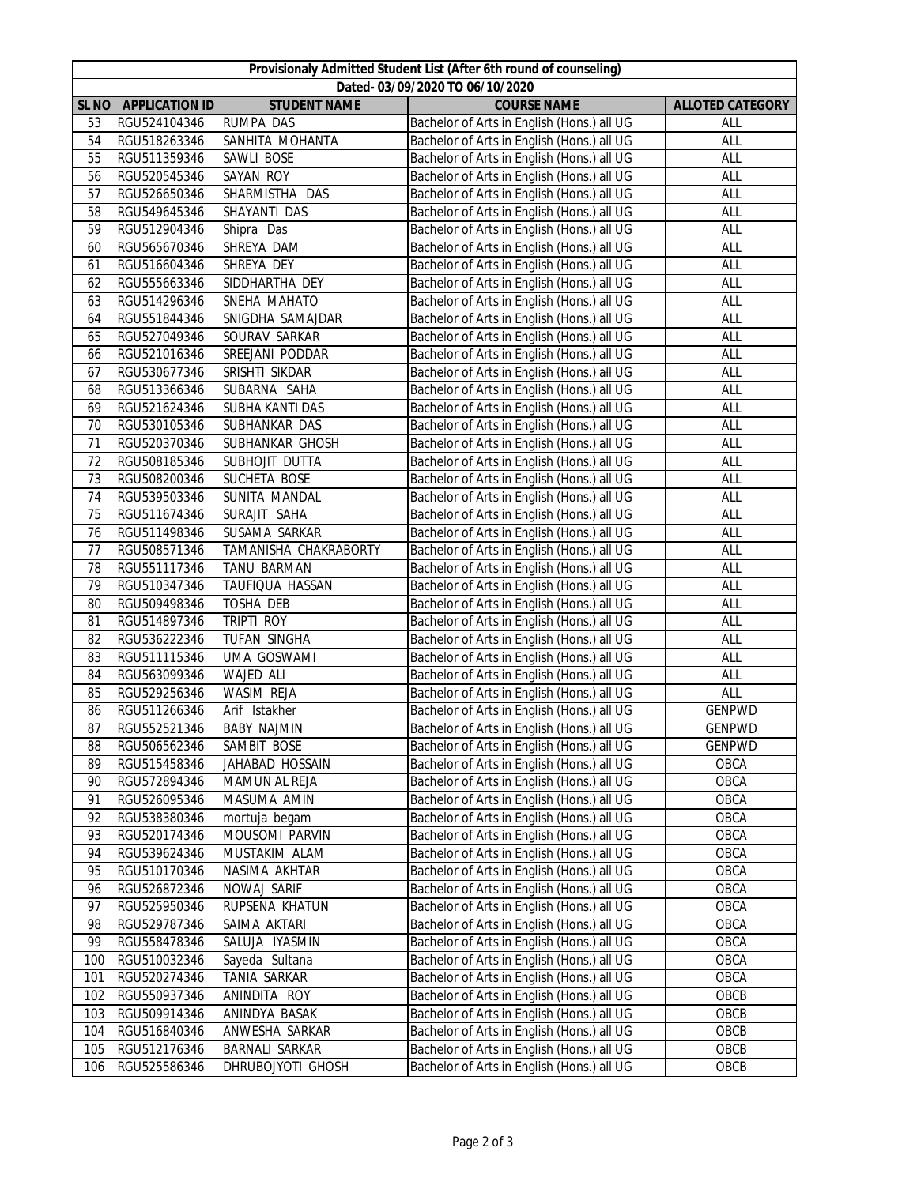| Provisionaly Admitted Student List (After 6th round of counseling) |                              |                              |                                                                                          |                         |  |  |  |
|--------------------------------------------------------------------|------------------------------|------------------------------|------------------------------------------------------------------------------------------|-------------------------|--|--|--|
| Dated-03/09/2020 TO 06/10/2020                                     |                              |                              |                                                                                          |                         |  |  |  |
| SL <sub>NO</sub>                                                   | <b>APPLICATION ID</b>        | <b>STUDENT NAME</b>          | <b>COURSE NAME</b>                                                                       | <b>ALLOTED CATEGORY</b> |  |  |  |
| 53<br>54                                                           | RGU524104346                 | RUMPA DAS<br>SANHITA MOHANTA | Bachelor of Arts in English (Hons.) all UG<br>Bachelor of Arts in English (Hons.) all UG | ALL                     |  |  |  |
| 55                                                                 | RGU518263346<br>RGU511359346 | SAWLI BOSE                   | Bachelor of Arts in English (Hons.) all UG                                               | ALL<br>ALL              |  |  |  |
| 56                                                                 | RGU520545346                 | SAYAN ROY                    | Bachelor of Arts in English (Hons.) all UG                                               | ALL                     |  |  |  |
| 57                                                                 | RGU526650346                 | SHARMISTHA DAS               | Bachelor of Arts in English (Hons.) all UG                                               | ALL                     |  |  |  |
| 58                                                                 | RGU549645346                 | SHAYANTI DAS                 | Bachelor of Arts in English (Hons.) all UG                                               | ALL                     |  |  |  |
| 59                                                                 | RGU512904346                 | Shipra Das                   | Bachelor of Arts in English (Hons.) all UG                                               | <b>ALL</b>              |  |  |  |
| 60                                                                 | RGU565670346                 | SHREYA DAM                   | Bachelor of Arts in English (Hons.) all UG                                               | ALL                     |  |  |  |
| 61                                                                 | RGU516604346                 | SHREYA DEY                   | Bachelor of Arts in English (Hons.) all UG                                               | <b>ALL</b>              |  |  |  |
| 62                                                                 | RGU555663346                 | SIDDHARTHA DEY               | Bachelor of Arts in English (Hons.) all UG                                               | <b>ALL</b>              |  |  |  |
| 63                                                                 | RGU514296346                 | SNEHA MAHATO                 | Bachelor of Arts in English (Hons.) all UG                                               | ALL                     |  |  |  |
| 64                                                                 | RGU551844346                 | SNIGDHA SAMAJDAR             | Bachelor of Arts in English (Hons.) all UG                                               | <b>ALL</b>              |  |  |  |
| 65                                                                 | RGU527049346                 | SOURAV SARKAR                | Bachelor of Arts in English (Hons.) all UG                                               | ALL                     |  |  |  |
| 66                                                                 | RGU521016346                 | SREEJANI PODDAR              | Bachelor of Arts in English (Hons.) all UG                                               | ALL                     |  |  |  |
| 67                                                                 | RGU530677346                 | SRISHTI SIKDAR               | Bachelor of Arts in English (Hons.) all UG                                               | ALL                     |  |  |  |
| 68                                                                 | RGU513366346                 | SUBARNA SAHA                 | Bachelor of Arts in English (Hons.) all UG                                               | ALL                     |  |  |  |
| 69                                                                 | RGU521624346                 | <b>SUBHA KANTI DAS</b>       | Bachelor of Arts in English (Hons.) all UG                                               | ALL                     |  |  |  |
| 70                                                                 | RGU530105346                 | SUBHANKAR DAS                | Bachelor of Arts in English (Hons.) all UG                                               | ALL                     |  |  |  |
| 71                                                                 | RGU520370346                 | SUBHANKAR GHOSH              | Bachelor of Arts in English (Hons.) all UG                                               | ALL                     |  |  |  |
| 72                                                                 | RGU508185346                 | SUBHOJIT DUTTA               | Bachelor of Arts in English (Hons.) all UG                                               | ALL                     |  |  |  |
| 73                                                                 | RGU508200346                 | SUCHETA BOSE                 | Bachelor of Arts in English (Hons.) all UG                                               | ALL                     |  |  |  |
| 74                                                                 | RGU539503346                 | SUNITA MANDAL                | Bachelor of Arts in English (Hons.) all UG                                               | ALL                     |  |  |  |
| 75                                                                 | RGU511674346                 | SURAJIT SAHA                 | Bachelor of Arts in English (Hons.) all UG                                               | ALL                     |  |  |  |
| 76                                                                 | RGU511498346                 | SUSAMA SARKAR                | Bachelor of Arts in English (Hons.) all UG                                               | ALL                     |  |  |  |
| 77                                                                 | RGU508571346                 | <b>TAMANISHA CHAKRABORTY</b> | Bachelor of Arts in English (Hons.) all UG                                               | ALL                     |  |  |  |
| 78                                                                 | RGU551117346                 | <b>TANU BARMAN</b>           | Bachelor of Arts in English (Hons.) all UG                                               | ALL                     |  |  |  |
| 79                                                                 | RGU510347346                 | TAUFIQUA HASSAN              | Bachelor of Arts in English (Hons.) all UG                                               | ALL                     |  |  |  |
| 80                                                                 | RGU509498346                 | <b>TOSHA DEB</b>             | Bachelor of Arts in English (Hons.) all UG                                               | ALL                     |  |  |  |
| 81                                                                 | RGU514897346                 | <b>TRIPTI ROY</b>            | Bachelor of Arts in English (Hons.) all UG                                               | ALL                     |  |  |  |
| 82                                                                 | RGU536222346                 | <b>TUFAN SINGHA</b>          | Bachelor of Arts in English (Hons.) all UG                                               | ALL                     |  |  |  |
| 83                                                                 | RGU511115346                 | <b>UMA GOSWAMI</b>           | Bachelor of Arts in English (Hons.) all UG                                               | ALL                     |  |  |  |
| 84                                                                 | RGU563099346                 | <b>WAJED ALI</b>             | Bachelor of Arts in English (Hons.) all UG                                               | ALL                     |  |  |  |
| 85                                                                 | RGU529256346                 | WASIM REJA                   | Bachelor of Arts in English (Hons.) all UG                                               | ALL                     |  |  |  |
| 86                                                                 | RGU511266346                 | Arif Istakher                | Bachelor of Arts in English (Hons.) all UG                                               | <b>GENPWD</b>           |  |  |  |
| 87                                                                 | RGU552521346                 | <b>BABY NAJMIN</b>           | Bachelor of Arts in English (Hons.) all UG                                               | <b>GENPWD</b>           |  |  |  |
| 88                                                                 | RGU506562346                 | SAMBIT BOSE                  | Bachelor of Arts in English (Hons.) all UG                                               | <b>GENPWD</b>           |  |  |  |
| 89                                                                 | RGU515458346                 | JAHABAD HOSSAIN              | Bachelor of Arts in English (Hons.) all UG                                               | OBCA                    |  |  |  |
| 90                                                                 | RGU572894346                 | MAMUN AL REJA                | Bachelor of Arts in English (Hons.) all UG                                               | OBCA                    |  |  |  |
| 91                                                                 | RGU526095346                 | MASUMA AMIN                  | Bachelor of Arts in English (Hons.) all UG                                               | OBCA                    |  |  |  |
| 92                                                                 | RGU538380346                 | mortuja begam                | Bachelor of Arts in English (Hons.) all UG                                               | OBCA                    |  |  |  |
| 93                                                                 | RGU520174346                 | MOUSOMI PARVIN               | Bachelor of Arts in English (Hons.) all UG                                               | OBCA                    |  |  |  |
| 94                                                                 | RGU539624346                 | MUSTAKIM ALAM                | Bachelor of Arts in English (Hons.) all UG                                               | OBCA                    |  |  |  |
| 95                                                                 | RGU510170346                 | NASIMA AKHTAR                | Bachelor of Arts in English (Hons.) all UG                                               | OBCA                    |  |  |  |
| 96                                                                 | RGU526872346                 | NOWAJ SARIF                  | Bachelor of Arts in English (Hons.) all UG                                               | OBCA                    |  |  |  |
| 97                                                                 | RGU525950346                 | RUPSENA KHATUN               | Bachelor of Arts in English (Hons.) all UG                                               | OBCA                    |  |  |  |
| 98                                                                 | RGU529787346                 | SAIMA AKTARI                 | Bachelor of Arts in English (Hons.) all UG                                               | OBCA                    |  |  |  |
| 99                                                                 | RGU558478346                 | SALUJA IYASMIN               | Bachelor of Arts in English (Hons.) all UG                                               | OBCA                    |  |  |  |
| 100                                                                | RGU510032346                 | Sayeda Sultana               | Bachelor of Arts in English (Hons.) all UG                                               | OBCA                    |  |  |  |
| 101                                                                | RGU520274346                 | TANIA SARKAR                 | Bachelor of Arts in English (Hons.) all UG                                               | OBCA                    |  |  |  |
| 102                                                                | RGU550937346                 | ANINDITA ROY                 | Bachelor of Arts in English (Hons.) all UG                                               | OBCB                    |  |  |  |
| 103                                                                | RGU509914346                 | ANINDYA BASAK                | Bachelor of Arts in English (Hons.) all UG                                               | OBCB                    |  |  |  |
| 104                                                                | RGU516840346                 | ANWESHA SARKAR               | Bachelor of Arts in English (Hons.) all UG                                               | OBCB                    |  |  |  |
| 105                                                                | RGU512176346                 | BARNALI SARKAR               | Bachelor of Arts in English (Hons.) all UG                                               | OBCB                    |  |  |  |
| 106                                                                | RGU525586346                 | DHRUBOJYOTI GHOSH            | Bachelor of Arts in English (Hons.) all UG                                               | OBCB                    |  |  |  |